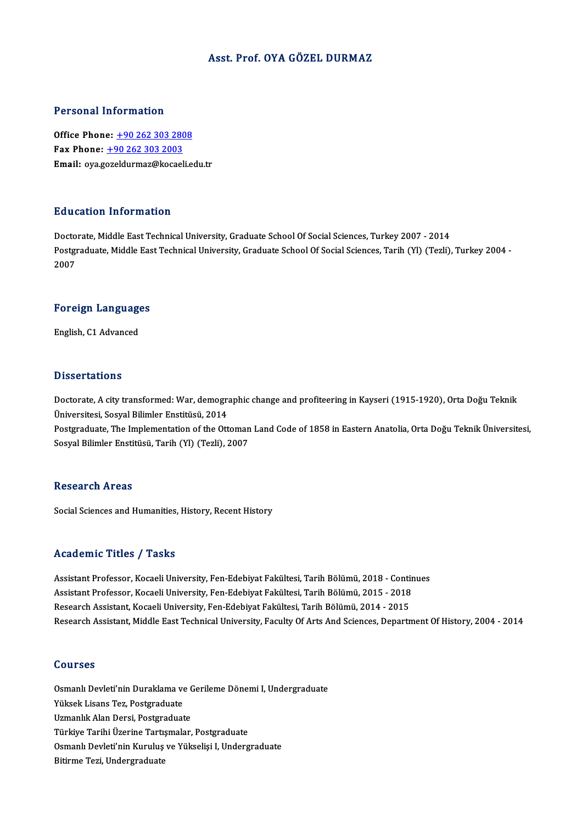#### Asst. Prof. OYA GÖZELDURMAZ

#### Personal Information

**Personal Information<br>Office Phone: +90 262 303 2808<br>Fax Phone: +90 262 202 2002** Fax Phone: <u>+90 262 303 280</u><br>Fax Phone: <u>+90 262 303 2003</u><br>Fmail: exa geraldurmar@kacael Fax Phone: +90 262 303 2003<br>Email: oya.g[ozeldurmaz@kocae](tel:+90 262 303 2003)[li.e](tel:+90 262 303 2808)du.tr

#### Education Information

Doctorate, Middle East Technical University, Graduate School Of Social Sciences, Turkey 2007 - 2014 Pu d'ederen Timon inderen<br>Doctorate, Middle East Technical University, Graduate School Of Social Sciences, Turkey 2007 - 2014<br>Postgraduate, Middle East Technical University, Graduate School Of Social Sciences, Tarih (Yl) ( Docto<br>Postgi<br>2007

## <sub>2007</sub><br>Foreign Languages F<mark>oreign Languag</mark>e<br>English, C1 Advanced

English, C1 Advanced<br>Dissertations

Dissertations<br>Doctorate, A city transformed: War, demographic change and profiteering in Kayseri (1915-1920), Orta Doğu Teknik<br>Üniversitesi, Sesval Bilimler Enstitüsü, 2014 Misson tantoms<br>Doctorate, A city transformed: War, demogra<br>Üniversitesi, Sosyal Bilimler Enstitüsü, 2014<br>Bostaraduate, The Implementation of the Ott Üniversitesi, Sosyal Bilimler Enstitüsü, 2014<br>Postgraduate, The Implementation of the Ottoman Land Code of 1858 in Eastern Anatolia, Orta Doğu Teknik Üniversitesi,

Sosyal Bilimler Enstitüsü, Tarih (Yl) (Tezli), 2007

#### **Research Areas**

Social Sciences and Humanities, History, Recent History

#### Academic Titles / Tasks

Academic Titles / Tasks<br>Assistant Professor, Kocaeli University, Fen-Edebiyat Fakültesi, Tarih Bölümü, 2018 - Continues<br>Assistant Professor, Kocaeli University, Fen-Edebiyat Fakültesi, Tarih Bölümü, 2015 - 2019 Assistant Professor, Kocaeli University, Fen-Edebiyat Fakültesi, Tarih Bölümü, 2018 - Contin<br>Assistant Professor, Kocaeli University, Fen-Edebiyat Fakültesi, Tarih Bölümü, 2015 - 2018<br>Besearsh Assistant, Kosaeli University Assistant Professor, Kocaeli University, Fen-Edebiyat Fakültesi, Tarih Bölümü, 2018 - Conti<br>Assistant Professor, Kocaeli University, Fen-Edebiyat Fakültesi, Tarih Bölümü, 2015 - 2018<br>Research Assistant, Kocaeli University, Assistant Professor, Kocaeli University, Fen-Edebiyat Fakültesi, Tarih Bölümü, 2015 - 2018<br>Research Assistant, Kocaeli University, Fen-Edebiyat Fakültesi, Tarih Bölümü, 2014 - 2015<br>Research Assistant, Middle East Technical

#### Courses

Courses<br>Osmanlı Devleti'nin Duraklama ve Gerileme Dönemi I, Undergraduate<br>Yükaek Lisana Ter, Pestrraduate Yüksek<br>Osmanlı Devleti'nin Duraklama ve<br>Yüksek Lisans Tez, Postgraduate<br>Uzmanlık Alan Dergi, Bostgraduate Osmanlı Devleti'nin Duraklama ve C<br>Yüksek Lisans Tez, Postgraduate<br>Uzmanlık Alan Dersi, Postgraduate<br>Türkiye Toribi Üzerine Tertemaler Yüksek Lisans Tez, Postgraduate<br>Uzmanlık Alan Dersi, Postgraduate<br>Türkiye Tarihi Üzerine Tartışmalar, Postgraduate<br>Qamanlı Davlati'nin Kumılus ve Yükselisi I. Undana Uzmanlık Alan Dersi, Postgraduate<br>Türkiye Tarihi Üzerine Tartışmalar, Postgraduate<br>Osmanlı Devleti'nin Kuruluş ve Yükselişi I, Undergraduate<br>Bitirme Tezi, Undergraduate Türkiye Tarihi Üzerine Tartı:<br>Osmanlı Devleti'nin Kuruluş<br>Bitirme Tezi, Undergraduate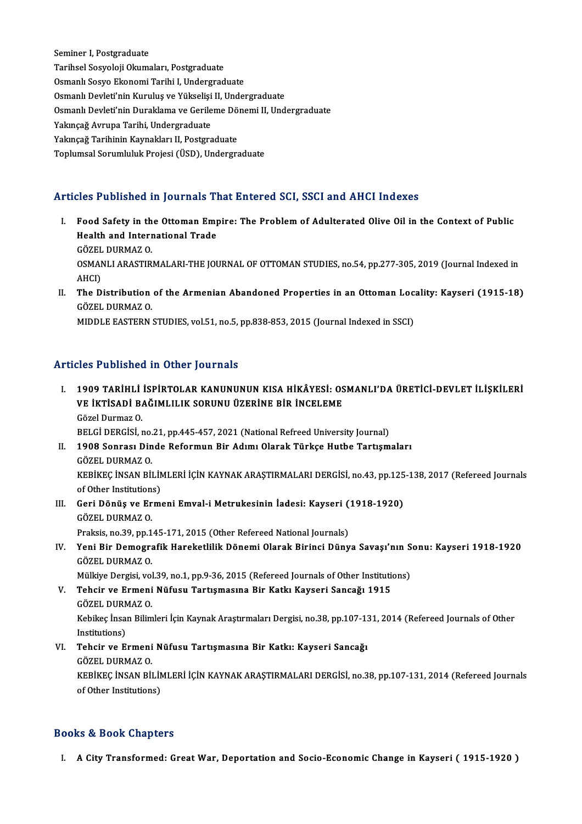Seminer I, Postgraduate Tarihsel Sosyoloji Okumaları, Postgraduate Osmanlı Sosyo Ekonomi Tarihi I, Undergraduate Tarihsel Sosyoloji Okumaları, Postgraduate<br>Osmanlı Sosyo Ekonomi Tarihi I, Undergraduate<br>Osmanlı Devleti'nin Kuruluş ve Yükselişi II, Undergraduate<br>Osmanlı Devleti'nin Duraklama ve Carilama Dönami II, Und Osmanlı Sosyo Ekonomi Tarihi I, Undergraduate<br>Osmanlı Devleti'nin Kuruluş ve Yükselişi II, Undergraduate<br>Osmanlı Devleti'nin Duraklama ve Gerileme Dönemi II, Undergraduate<br>Yakıncağ Avruna Tarihi Undergraduate Osmanlı Devleti'nin Kuruluş ve Yükselişi<br>Osmanlı Devleti'nin Duraklama ve Gerile<br>Yakınçağ Avrupa Tarihi, Undergraduate<br>Yakınçağ Tarihinin Kaymakları II. Bostara Osmanlı Devleti'nin Duraklama ve Gerileme Dö<br>Yakınçağ Avrupa Tarihi, Undergraduate<br>Yakınçağ Tarihinin Kaynakları II, Postgraduate<br>Tanlumsal Sarumluluk Broissi (ÜSD), Undergra Yakınçağ Avrupa Tarihi, Undergraduate<br>Yakınçağ Tarihinin Kaynakları II, Postgraduate<br>Toplumsal Sorumluluk Projesi (ÜSD), Undergraduate

### Articles Published in Journals That Entered SCI, SSCI and AHCI Indexes

- rticles Published in Journals That Entered SCI, SSCI and AHCI Indexes<br>I. Food Safety in the Ottoman Empire: The Problem of Adulterated Olive Oil in the Context of Public<br>Heelth and International Trade Health and International Employment and International Trade<br>Health and International Trade Food Safety in th<br>Health and Intern<br>GÖZEL DURMAZ 0.<br>OSMANLLABASTIR Health and International Trade<br>GÖZEL DURMAZ 0.<br>OSMANLI ARASTIRMALARI-THE JOURNAL OF OTTOMAN STUDIES, no.54, pp.277-305, 2019 (Journal Indexed in GÖZEL<br>OSMAN<br>AHCI)<br>The D OSMANLI ARASTIRMALARI-THE JOURNAL OF OTTOMAN STUDIES, no.54, pp.277-305, 2019 (Journal Indexed in<br>AHCI)<br>II. The Distribution of the Armenian Abandoned Properties in an Ottoman Locality: Kayseri (1915-18)<br>CÖZEL DUPMAZ O
- AHCI)<br>The Distribution<br>GÖZEL DURMAZ O.<br>MIDDLE EASTEPN The Distribution of the Armenian Abandoned Properties in an Ottoman Loc<br>GÖZEL DURMAZ 0.<br>MIDDLE EASTERN STUDIES, vol.51, no.5, pp.838-853, 2015 (Journal Indexed in SSCI)

MIDDLE EASTERN STUDIES, vol.51, no.5, pp.838-853, 2015 (Journal Indexed in SSCI)<br>Articles Published in Other Journals

- IT ERRIHLI İSPIRTOLAR KANUNUNUN KISA HİKÂYESİ: OSMANLI'DA ÜRETİCİ-DEVLET İLİŞKİLERİ<br>I. 1909 TARİHLİ İSPİRTOLAR KANUNUNUN KISA HİKÂYESİ: OSMANLI'DA ÜRETİCİ-DEVLET İLİŞKİLERİ<br>VE İKTİSADİ PAĞIMLILIK SORUNU ÜZERİNE RİR İNCELEM SEET ÜBIRINGI IN OLIET JOUTNUR<br>1909 TARİHLİ İSPİRTOLAR KANUNUNUN KISA HİKÂYESİ: OS<br>VE İKTİSADİ BAĞIMLILIK SORUNU ÜZERİNE BİR İNCELEME 1909 TARİHLİ<br>VE İKTİSADİ B.<br>Gözel Durmaz O.<br>PELCİ DERCİSİ A VE İKTİSADİ BAĞIMLILIK SORUNU ÜZERİNE BİR İNCELEME<br>Gözel Durmaz O.<br>BELGİ DERGİSİ, no.21, pp.445-457, 2021 (National Refreed University Journal) Gözel Durmaz 0.<br>BELGİ DERGİSİ, no.21, pp.445-457, 2021 (National Refreed University Journal)<br>II. 1908 Sonrası Dinde Reformun Bir Adımı Olarak Türkçe Hutbe Tartışmaları<br>CÖZEL DUPMAZ 0.
- BELGI DERGISI, no.<br>1908 Sonrası Din<br>GÖZEL DURMAZ O.<br>ERRİERC İNSAN BU 1908 Sonrası Dinde Reformun Bir Adımı Olarak Türkçe Hutbe Tartışmaları<br>GÖZEL DURMAZ O.<br>KEBİKEÇ İNSAN BİLİMLERİ İÇİN KAYNAK ARAŞTIRMALARI DERGİSİ, no.43, pp.125-138, 2017 (Refereed Journals<br>of Other Institutione) GÖZEL DURMAZ O.<br>KEBİKEÇ İNSAN BİLİN<br>of Other Institutions)<br>Cari Dönüs ve Erm KEBİKEÇ İNSAN BİLİMLERİ İÇİN KAYNAK ARAŞTIRMALARI DERGİSİ, no.43, pp.125<br>of Other Institutions)<br>III. Geri Dönüş ve Ermeni Emval-i Metrukesinin İadesi: Kayseri (1918-1920)<br>GÖZEL DUPMAZ O
- of Other Institution<br>Geri Dönüş ve Er<br>GÖZEL DURMAZ O.<br>Prokaja ne 20 nn 1 Geri Dönüş ve Ermeni Emval-i Metrukesinin İadesi: Kayseri (<br>GÖZEL DURMAZ 0.<br>Praksis, no.39, pp.145-171, 2015 (Other Refereed National Journals)<br>Voni Bir Demografik Hareketlilik Dönemi Olarek Biringi Düny
- GÖZEL DURMAZ O.<br>Praksis, no.39, pp.145-171, 2015 (Other Refereed National Journals)<br>IV. Yeni Bir Demografik Hareketlilik Dönemi Olarak Birinci Dünya Savaşı'nın Sonu: Kayseri 1918-1920<br>GÖZEL DURMAZ O. Praksis, no.39, pp.1<br>Yeni Bir Demogra<br>GÖZEL DURMAZ O.<br>Mülkive Dergisi vel Yeni Bir Demografik Hareketlilik Dönemi Olarak Birinci Dünya Savaşı'nın S<br>GÖZEL DURMAZ 0.<br>Mülkiye Dergisi, vol.39, no.1, pp.9-36, 2015 (Refereed Journals of Other Institutions)<br>Tehsir ve Ermani Nüfusu Tartısmasına Bir Katl GÖZEL DURMAZ O.<br>Mülkiye Dergisi, vol.39, no.1, pp.9-36, 2015 (Refereed Journals of Other Instituti<br>V. Tehcir ve Ermeni Nüfusu Tartışmasına Bir Katkı Kayseri Sancağı 1915

Mülkiye Dergisi, vol.39, no.1, pp.9-36, 2015 (Refereed Journals of Other Institutions)

- Kebikeç İnsan Bilimleri İçin Kaynak Araştırmaları Dergisi, no.38, pp.107-131, 2014 (Refereed Journals of Other<br>Institutions) GÖZEL DURMAZ O Kebikeç İnsan Bilimleri İçin Kaynak Araştırmaları Dergisi, no.38, pp.107-13<br>Institutions)<br>VI. Tehcir ve Ermeni Nüfusu Tartışmasına Bir Katkı: Kayseri Sancağı<br>GÖZEL DUPMAZ O
	- Institutions)<br>Tehcir ve Ermeni<br>GÖZEL DURMAZ 0.<br>VERİVEC İNSAN BİL Tehcir ve Ermeni Nüfusu Tartışmasına Bir Katkı: Kayseri Sancağı<br>GÖZEL DURMAZ O.<br>KEBİKEÇ İNSAN BİLİMLERİ İÇİN KAYNAK ARAŞTIRMALARI DERGİSİ, no.38, pp.107-131, 2014 (Refereed Journals<br>of Other Institutione) GÖZEL DURMAZ O.<br>KEBİKEÇ İNSAN BİLİN<br>of Other Institutions)

# of Other Institutions)<br>Books & Book Chapters

I. A City Transformed: GreatWar, Deportation and Socio-Economic Change in Kayseri ( 1915-1920 )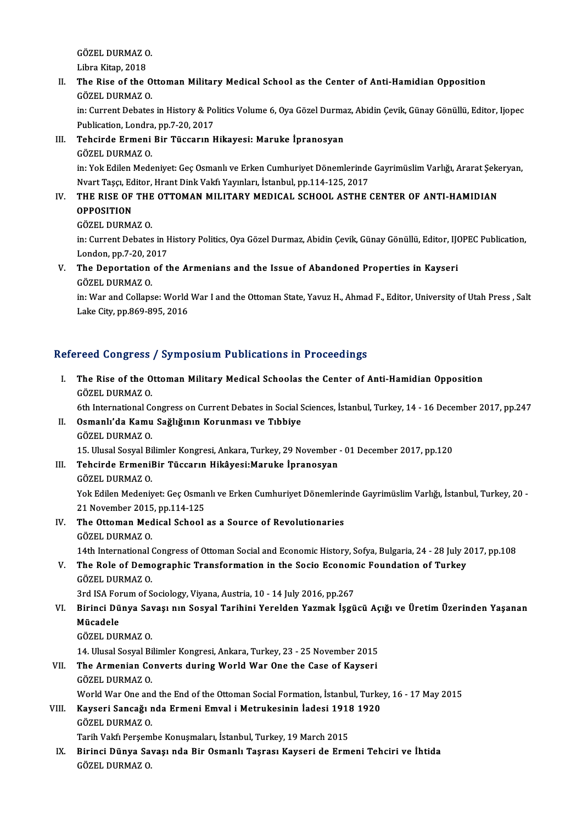GÖZEL DURMAZ O.<br>Libre Vitar, 2019 GÖZEL DURMAZ C<br>Libra Kitap, 2018<br>The Bise of the 1

### GÖZEL DURMAZ 0.<br>Libra Kitap, 2018<br>II. The Rise of the Ottoman Military Medical School as the Center of Anti-Hamidian Opposition<br>CÖZEL DURMAZ O Libra Kitap, 2018<br>The Rise of the O<br>GÖZEL DURMAZ O.<br>in: Current Debates The Rise of the Ottoman Military Medical School as the Center of Anti-Hamidian Opposition<br>GÖZEL DURMAZ 0.<br>in: Current Debates in History & Politics Volume 6, Oya Gözel Durmaz, Abidin Çevik, Günay Gönüllü, Editor, Ijopec<br>Pu

GÖZEL DURMAZ 0.<br>in: Current Debates in History & Po<br>Publication, Londra, pp.7-20, 2017<br>Tebeirde Ermeni Bir Tüsserun b in: Current Debates in History & Politics Volume 6, Oya Gözel Durma<br>Publication, Londra, pp.7-20, 2017<br>III. Tehcirde Ermeni Bir Tüccarın Hikayesi: Maruke İpranosyan<br>Gözel DUPMAZ O

## Publication, Londra<br>Tehcirde Ermeni<br>GÖZEL DURMAZ 0.<br>in: Yek Edilen Mede

Tehcirde Ermeni Bir Tüccarın Hikayesi: Maruke İpranosyan<br>GÖZEL DURMAZ 0.<br>in: Yok Edilen Medeniyet: Geç Osmanlı ve Erken Cumhuriyet Dönemlerinde Gayrimüslim Varlığı, Ararat Şekeryan,<br>Nyart Tassı, Editor, Hrant Dink Valcî Ya GÖZEL DURMAZ O.<br>in: Yok Edilen Medeniyet: Geç Osmanlı ve Erken Cumhuriyet Dönemlerinde<br>Nvart Taşçı, Editor, Hrant Dink Vakfı Yayınları, İstanbul, pp.114-125, 2017<br>THE RISE OF THE OTTOMAN MILITARY MEDICAL SCHOOL ASTHE ( in: Yok Edilen Medeniyet: Geç Osmanlı ve Erken Cumhuriyet Dönemlerinde Gayrimüslim Varlığı, Ararat Şeke<br>Nvart Taşçı, Editor, Hrant Dink Vakfı Yayınları, İstanbul, pp.114-125, 2017<br>IV. THE RISE OF THE OTTOMAN MILITARY MEDIC

### Nvart Taşçı, Editor, Hrant Dink Vakfı Yayınları, İstanbul, pp.114-125, 2017<br>THE RISE OF THE OTTOMAN MILITARY MEDICAL SCHOOL ASTHE<br>OPPOSITION<br>GÖZEL DURMAZ O. THE RISE OF THE<br>OPPOSITION<br>GÖZEL DURMAZ O.<br>in: Currort Debates

OPPOSITION<br>GÖZEL DURMAZ O.<br>in: Current Debates in History Politics, Oya Gözel Durmaz, Abidin Çevik, Günay Gönüllü, Editor, IJOPEC Publication, GÖZEL DURMAZ 0.<br>in: Current Debates in F<br>London, pp.7-20, 2017<br>The Depertation of the in: Current Debates in History Politics, Oya Gözel Durmaz, Abidin Çevik, Günay Gönüllü, Editor, IJO<br>London, pp.7-20, 2017<br>V. The Deportation of the Armenians and the Issue of Abandoned Properties in Kayseri<br>CÖZEL DUPMAZ O

London, pp.7-20, 2017<br>V. The Deportation of the Armenians and the Issue of Abandoned Properties in Kayseri<br>GÖZEL DURMAZ 0.

in: War and Collapse: World War I and the Ottoman State, Yavuz H., Ahmad F., Editor, University of Utah Press , Salt Lake City, pp.869-895, 2016

### Refereed Congress / Symposium Publications in Proceedings

efereed Congress / Symposium Publications in Proceedings<br>I. The Rise of the Ottoman Military Medical Schoolas the Center of Anti-Hamidian Opposition The Rise of the O<br>GÖZEL DURMAZ 0.<br>Eth International Co 6ÖZEL DURMAZ O.<br>6th International Congress on Current Debates in Social Sciences, İstanbul, Turkey, 14 - 16 December 2017, pp.247 GÖZEL DURMAZ 0.<br>6th International Congress on Current Debates in Social S<br>II. 0smanlı'da Kamu Sağlığının Korunması ve Tıbbiye<br>6ÖZEL DURMAZ 0. 6th International Comanlı'da Kamu<br>GÖZEL DURMAZ O.<br>15 Hural Sesval Bi 15.UlusalSosyalBilimlerKongresi,Ankara,Turkey,29November -01December 2017,pp.120 GÖZEL DURMAZ O.<br>15. Ulusal Sosyal Bilimler Kongresi, Ankara, Turkey, 29 November .<br>III. Tehcirde ErmeniBir Tüccarın Hikâyesi:Maruke İpranosyan<br>GÖZEL DURMAZ O. 15. Ulusal Sosyal Bi<br>Tehcirde Ermenil<br>GÖZEL DURMAZ O.<br>Vek Edilen Medeni: Tehcirde ErmeniBir Tüccarın Hikâyesi:Maruke İpranosyan<br>GÖZEL DURMAZ 0.<br>Yok Edilen Medeniyet: Geç Osmanlı ve Erken Cumhuriyet Dönemlerinde Gayrimüslim Varlığı, İstanbul, Turkey, 20 -6ÖZEL DURMAZ 0.<br>Yok Edilen Medeniyet: Geç Osmaı<br>21 November 2015, pp.114-125<br>The Otteman Medical School. Yok Edilen Medeniyet: Geç Osmanlı ve Erken Cumhuriyet Dönemleri<br>21 November 2015, pp.114-125<br>IV. The Ottoman Medical School as a Source of Revolutionaries 21 November 2015, pp.114-125<br>IV. The Ottoman Medical School as a Source of Revolutionaries<br>GÖZEL DURMAZ O. The Ottoman Medical School as a Source of Revolutionaries<br>GÖZEL DURMAZ 0.<br>14th International Congress of Ottoman Social and Economic History, Sofya, Bulgaria, 24 - 28 July 2017, pp.108<br>The Bole of Demographic Transformatio GÖZEL DURMAZ O.<br>14th International Congress of Ottoman Social and Economic History, Sofya, Bulgaria, 24 - 28 July 2<br>1990 - V. The Role of Demographic Transformation in the Socio Economic Foundation of Turkey<br>1997 - CÖZEL D 14th International<br>The Role of Demo<br>GÖZEL DURMAZ 0.<br>2rd ISA Forum of S V. The Role of Demographic Transformation in the Socio Economic Foundation of Turkey<br>GÖZEL DURMAZ O.<br>3rd ISA Forum of Sociology, Viyana, Austria, 10 - 14 July 2016, pp.267 GÖZEL DURMAZ O.<br>3rd ISA Forum of Sociology, Viyana, Austria, 10 - 14 July 2016, pp.267<br>VI. Birinci Dünya Savaşı nın Sosyal Tarihini Yerelden Yazmak İşgücü Açığı ve Üretim Üzerinden Yaşanan<br>Müsadele 3rd ISA Foi<br><mark>Birinci Dü</mark><br>Mücadele<br>CÖZEL DUE Birinci Dünya Sav<br>Mücadele<br>GÖZEL DURMAZ O.<br>14 Husal Sasval Bi Mücadele<br>GÖZEL DURMAZ O.<br>14. Ulusal Sosyal Bilimler Kongresi, Ankara, Turkey, 23 - 25 November 2015 GÖZEL DURMAZ O.<br>14. Ulusal Sosyal Bilimler Kongresi, Ankara, Turkey, 23 - 25 November 2015<br>VII. The Armenian Converts during World War One the Case of Kayseri<br>CÖZEL DUPMAZ O 14. Ulusal Sosyal Bi<br>The Armenian Co<br>GÖZEL DURMAZ O.<br>World Wor One and The Armenian Converts during World War One the Case of Kayseri<br>GÖZEL DURMAZ 0.<br>World War One and the End of the Ottoman Social Formation, İstanbul, Turkey, 16 - 17 May 2015<br>Kayseri Sansağı nda Ermani Emyal i Metruksejnin İ GÖZEL DURMAZ O.<br>World War One and the End of the Ottoman Social Formation, İstanbul, Turke<br>VIII. Kayseri Sancağı nda Ermeni Emval i Metrukesinin İadesi 1918 1920<br>CÖZEL DURMAZ O. Kayseri Sancağı nda Ermeni Emval i Metrukesinin İadesi 1918 1920<br>GÖZEL DURMAZ O. Kayseri Sancağı nda Ermeni Emval i Metrukesinin İadesi 1918<br>GÖZEL DURMAZ O.<br>Tarih Vakfı Perşembe Konuşmaları, İstanbul, Turkey, 19 March 2015<br>Biringi Dünya Savası nda Bir Osmanlı Testası Kavasıi de Erm IX. Birinci Dünya Savaşı nda Bir Osmanlı Taşrası Kayseri de Ermeni Tehciri ve İhtida Tarih Vakfı Perşem<br><mark>Birinci Dünya Sa</mark><br>GÖZEL DURMAZ 0.